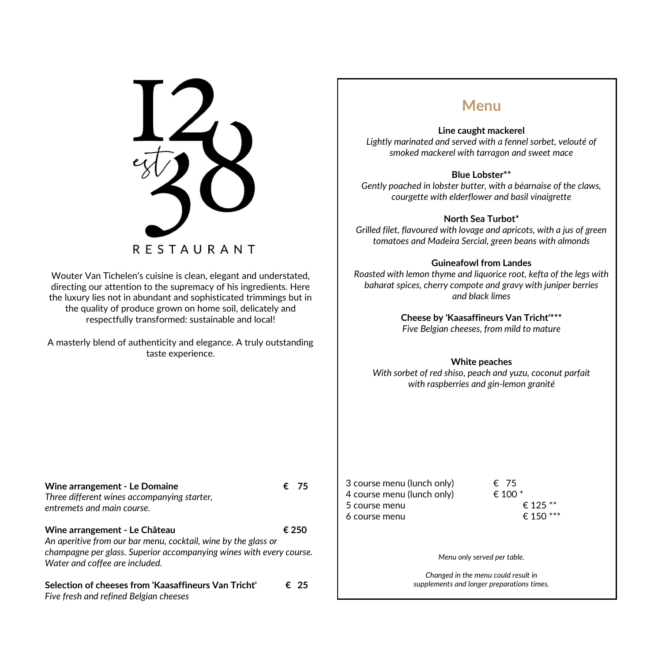$\blacksquare$ **RESTAURANT** 

Wouter Van Tichelen's cuisine is clean, elegant and understated, directing our attention to the supremacy of his ingredients. Here the luxury lies not in abundant and sophisticated trimmings but in the quality of produce grown on home soil, delicately and respectfully transformed: sustainable and local!

A masterly blend of authenticity and elegance. A truly outstanding taste experience.

### **Menu**

#### **Line caught mackerel**

*Lightly marinated and served with a fennel sorbet, velouté of smoked mackerel with tarragon and sweet mace*

#### **Blue Lobster\*\***

*Gently poached in lobster butter, with a béarnaise of the claws, courgette with elderflower and basil vinaigrette*

#### **North Sea Turbot\***

*Grilled filet, flavoured with lovage and apricots, with a jus of green tomatoes and Madeira Sercial, green beans with almonds*

#### **Guineafowl from Landes**

*Roasted with lemon thyme and liquorice root, kefta of the legs with baharat spices, cherry compote and gravy with juniper berries and black limes*

> **Cheese by 'Kaasaffineurs Van Tricht'\*\*\*** *Five Belgian cheeses, from mild to mature*

#### **White peaches**

*With sorbet of red shiso, peach and yuzu, coconut parfait with raspberries and gin-lemon granité*

| <b>Wine arrangement - Le Domaine</b><br>Three different wines accompanying starter,<br>entremets and main course.                                                                                        | € 75  |
|----------------------------------------------------------------------------------------------------------------------------------------------------------------------------------------------------------|-------|
| Wine arrangement - Le Château<br>An aperitive from our bar menu, cocktail, wine by the glass or<br>champagne per glass. Superior accompanying wines with every course.<br>Water and coffee are included. | € 250 |
| Selection of cheeses from 'Kaasaffineurs Van Tricht'                                                                                                                                                     | € 25  |

*Five fresh and refined Belgian cheeses*

3 course menu (lunch only)  $\epsilon$  75 4 course menu (lunch only)  $\epsilon$  100  $^*$ 5 course menu  $\epsilon$  125  $**$ 6 course menu  $6 \text{ terms}$  6 fourse menu

*Menu only served per table.*

*Changed in the menu could result in supplements and longer preparations times.*